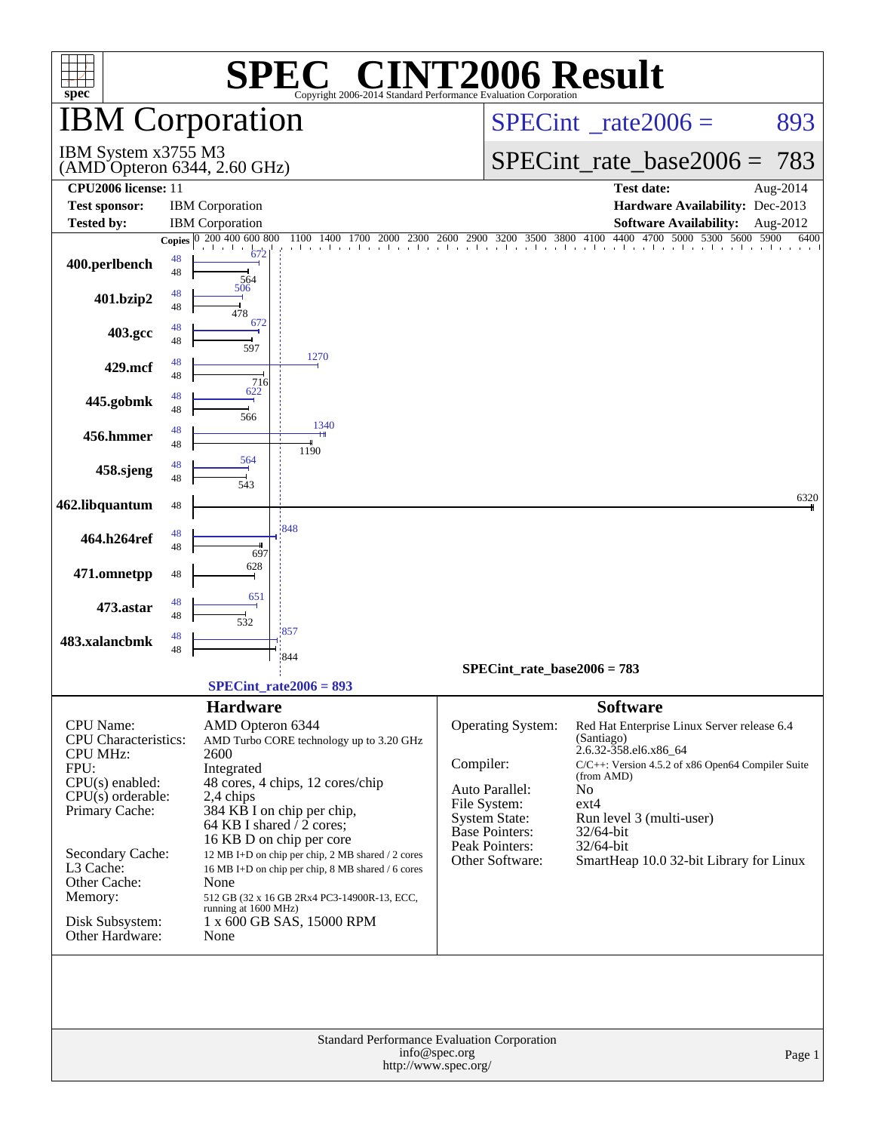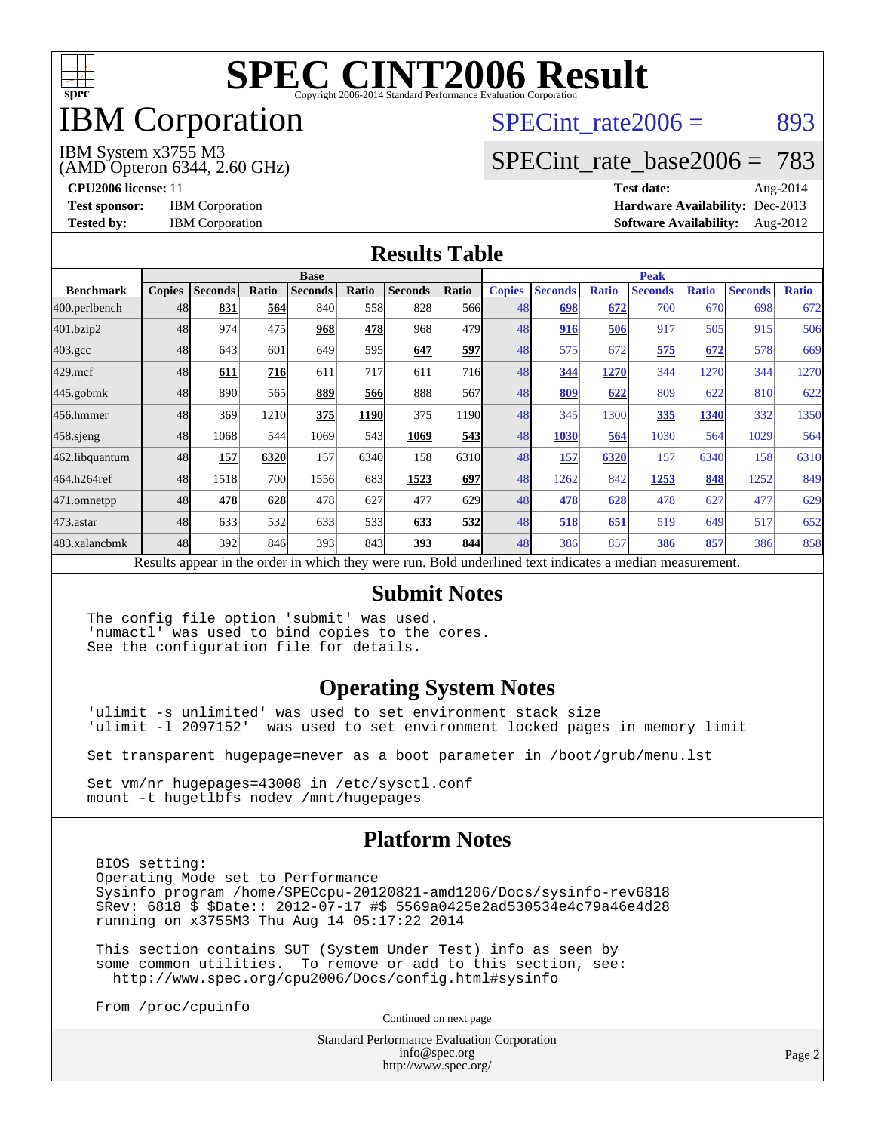

## IBM Corporation

SPECint rate $2006 = 893$ 

#### IBM System x3755 M3

(AMD Opteron 6344, 2.60 GHz)

[SPECint\\_rate\\_base2006 =](http://www.spec.org/auto/cpu2006/Docs/result-fields.html#SPECintratebase2006) 783

**[CPU2006 license:](http://www.spec.org/auto/cpu2006/Docs/result-fields.html#CPU2006license)** 11 **[Test date:](http://www.spec.org/auto/cpu2006/Docs/result-fields.html#Testdate)** Aug-2014 **[Test sponsor:](http://www.spec.org/auto/cpu2006/Docs/result-fields.html#Testsponsor)** IBM Corporation **[Hardware Availability:](http://www.spec.org/auto/cpu2006/Docs/result-fields.html#HardwareAvailability)** Dec-2013 **[Tested by:](http://www.spec.org/auto/cpu2006/Docs/result-fields.html#Testedby)** IBM Corporation **[Software Availability:](http://www.spec.org/auto/cpu2006/Docs/result-fields.html#SoftwareAvailability)** Aug-2012

#### **[Results Table](http://www.spec.org/auto/cpu2006/Docs/result-fields.html#ResultsTable)**

|                                                                                                          | <b>Base</b>   |                |              |                |             |                | <b>Peak</b>      |               |                |              |                |              |                |              |
|----------------------------------------------------------------------------------------------------------|---------------|----------------|--------------|----------------|-------------|----------------|------------------|---------------|----------------|--------------|----------------|--------------|----------------|--------------|
| <b>Benchmark</b>                                                                                         | <b>Copies</b> | <b>Seconds</b> | <b>Ratio</b> | <b>Seconds</b> | Ratio       | <b>Seconds</b> | Ratio            | <b>Copies</b> | <b>Seconds</b> | <b>Ratio</b> | <b>Seconds</b> | <b>Ratio</b> | <b>Seconds</b> | <b>Ratio</b> |
| 400.perlbench                                                                                            | 48            | 831            | 564          | 840            | 558I        | 828            | 566 <sub>l</sub> | 48            | 698            | 672          | 700            | 670          | 698            | 672          |
| 401.bzip2                                                                                                | 48            | 974            | 475          | 968            | 478         | 968            | 479              | 48            | 916            | 506          | 917            | 505          | 915            | 506          |
| $403.\mathrm{gcc}$                                                                                       | 48            | 643            | 601          | 649            | 595         | 647            | 597              | 48            | 575            | 672          | 575            | 672          | 578            | 669          |
| $429$ .mcf                                                                                               | 48            | 611            | 716          | 611            | 717         | 611            | 716              | 48            | 344            | 1270         | 344            | 1270         | 344            | 1270         |
| $445$ .gobmk                                                                                             | 48            | 890            | 565          | 889            | 566         | 888            | 567              | 48            | 809            | 622          | 809            | 622          | 810            | 622          |
| 456.hmmer                                                                                                | 48            | 369            | 1210         | 375            | <b>1190</b> | 375            | 1190             | 48            | 345            | 1300         | 335            | 1340         | 332            | 1350         |
| $458$ .sjeng                                                                                             | 48            | 1068           | 544          | 1069           | 543         | 1069           | 543              | 48            | 1030           | 564          | 1030           | 564          | 1029           | 564          |
| 462.libquantum                                                                                           | 48            | 157            | 6320         | 157            | 6340        | 158            | 6310             | 48            | 157            | 6320         | 157            | 6340         | 158            | 6310         |
| 464.h264ref                                                                                              | 48            | 1518           | 700          | 1556           | 683         | 1523           | 697              | 48            | 1262           | 842          | 1253           | 848          | 1252           | 849          |
| 471.omnetpp                                                                                              | 48            | 478            | 628          | 478            | 627         | 477            | 629              | 48            | 478            | 628          | 478            | 627          | 477            | 629          |
| $473$ . astar                                                                                            | 48            | 633            | 532          | 633            | 533         | 633            | 532              | 48            | 518            | 651          | 519            | 649          | 517            | 652          |
| 483.xalancbmk                                                                                            | 48            | 392            | 846          | 393            | 843         | 393            | 844              | 48            | 386            | 857          | 386            | 857          | 386            | 858          |
| Results appear in the order in which they were run. Bold underlined text indicates a median measurement. |               |                |              |                |             |                |                  |               |                |              |                |              |                |              |

#### **[Submit Notes](http://www.spec.org/auto/cpu2006/Docs/result-fields.html#SubmitNotes)**

The config file option 'submit' was used. 'numactl' was used to bind copies to the cores. See the configuration file for details.

#### **[Operating System Notes](http://www.spec.org/auto/cpu2006/Docs/result-fields.html#OperatingSystemNotes)**

'ulimit -s unlimited' was used to set environment stack size 'ulimit -l 2097152' was used to set environment locked pages in memory limit

Set transparent\_hugepage=never as a boot parameter in /boot/grub/menu.lst

Set vm/nr\_hugepages=43008 in /etc/sysctl.conf mount -t hugetlbfs nodev /mnt/hugepages

#### **[Platform Notes](http://www.spec.org/auto/cpu2006/Docs/result-fields.html#PlatformNotes)**

 BIOS setting: Operating Mode set to Performance Sysinfo program /home/SPECcpu-20120821-amd1206/Docs/sysinfo-rev6818 \$Rev: 6818 \$ \$Date:: 2012-07-17 #\$ 5569a0425e2ad530534e4c79a46e4d28 running on x3755M3 Thu Aug 14 05:17:22 2014

 This section contains SUT (System Under Test) info as seen by some common utilities. To remove or add to this section, see: <http://www.spec.org/cpu2006/Docs/config.html#sysinfo>

From /proc/cpuinfo

Continued on next page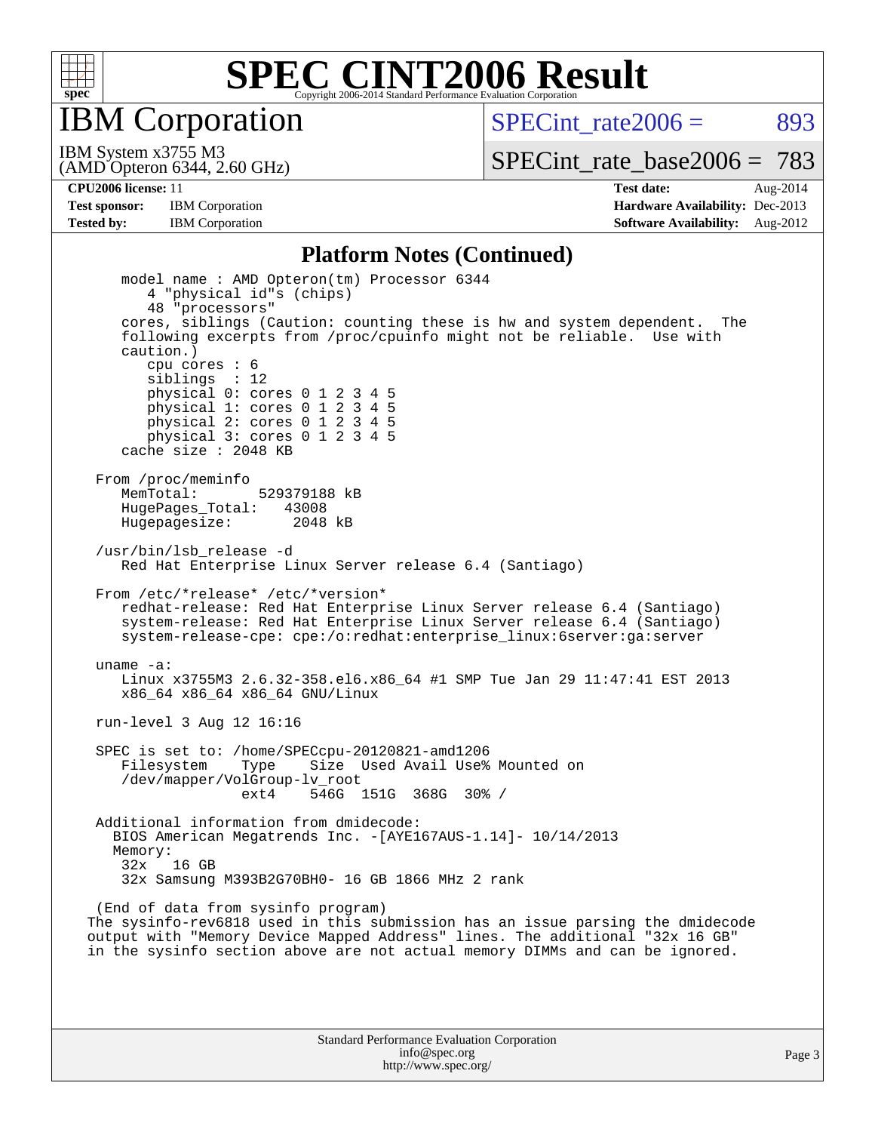

IBM Corporation

SPECint rate $2006 = 893$ 

(AMD Opteron 6344, 2.60 GHz) IBM System x3755 M3

[SPECint\\_rate\\_base2006 =](http://www.spec.org/auto/cpu2006/Docs/result-fields.html#SPECintratebase2006) 783

**[CPU2006 license:](http://www.spec.org/auto/cpu2006/Docs/result-fields.html#CPU2006license)** 11 **[Test date:](http://www.spec.org/auto/cpu2006/Docs/result-fields.html#Testdate)** Aug-2014 **[Test sponsor:](http://www.spec.org/auto/cpu2006/Docs/result-fields.html#Testsponsor)** IBM Corporation **[Hardware Availability:](http://www.spec.org/auto/cpu2006/Docs/result-fields.html#HardwareAvailability)** Dec-2013 **[Tested by:](http://www.spec.org/auto/cpu2006/Docs/result-fields.html#Testedby)** IBM Corporation **[Software Availability:](http://www.spec.org/auto/cpu2006/Docs/result-fields.html#SoftwareAvailability)** Aug-2012

#### **[Platform Notes \(Continued\)](http://www.spec.org/auto/cpu2006/Docs/result-fields.html#PlatformNotes)**

 model name : AMD Opteron(tm) Processor 6344 4 "physical id"s (chips) 48 "processors" cores, siblings (Caution: counting these is hw and system dependent. The following excerpts from /proc/cpuinfo might not be reliable. Use with caution.) cpu cores : 6 siblings : 12 physical 0: cores 0 1 2 3 4 5 physical 1: cores 0 1 2 3 4 5 physical 2: cores 0 1 2 3 4 5 physical 3: cores 0 1 2 3 4 5 cache size : 2048 KB From /proc/meminfo MemTotal: 529379188 kB<br>HugePages Total: 43008 HugePages\_Total: 43008 Hugepagesize: 2048 kB /usr/bin/lsb\_release -d Red Hat Enterprise Linux Server release 6.4 (Santiago) From /etc/\*release\* /etc/\*version\* redhat-release: Red Hat Enterprise Linux Server release 6.4 (Santiago) system-release: Red Hat Enterprise Linux Server release 6.4 (Santiago) system-release-cpe: cpe:/o:redhat:enterprise\_linux:6server:ga:server uname -a: Linux x3755M3 2.6.32-358.el6.x86\_64 #1 SMP Tue Jan 29 11:47:41 EST 2013 x86\_64 x86\_64 x86\_64 GNU/Linux run-level 3 Aug 12 16:16 SPEC is set to: /home/SPECcpu-20120821-amd1206 Filesystem Type Size Used Avail Use% Mounted on /dev/mapper/VolGroup-lv\_root ext4 546G 151G 368G 30% / Additional information from dmidecode: BIOS American Megatrends Inc. -[AYE167AUS-1.14]- 10/14/2013 Memory: 32x 16 GB 32x Samsung M393B2G70BH0- 16 GB 1866 MHz 2 rank (End of data from sysinfo program) The sysinfo-rev6818 used in this submission has an issue parsing the dmidecode output with "Memory Device Mapped Address" lines. The additional "32x 16 GB" in the sysinfo section above are not actual memory DIMMs and can be ignored.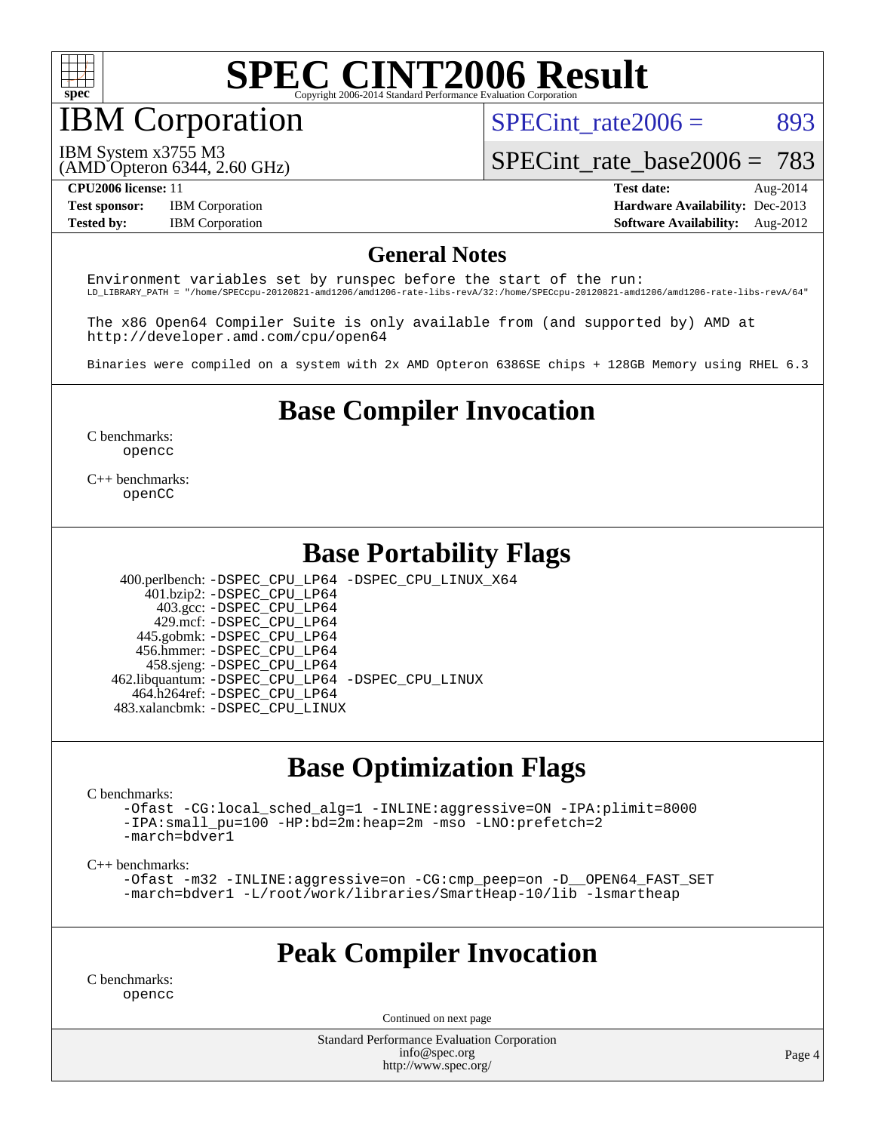

# IBM Corporation

SPECint rate $2006 = 893$ 

[SPECint\\_rate\\_base2006 =](http://www.spec.org/auto/cpu2006/Docs/result-fields.html#SPECintratebase2006) 783

IBM System x3755 M3

(AMD Opteron 6344, 2.60 GHz)

**[Tested by:](http://www.spec.org/auto/cpu2006/Docs/result-fields.html#Testedby)** IBM Corporation **[Software Availability:](http://www.spec.org/auto/cpu2006/Docs/result-fields.html#SoftwareAvailability)** Aug-2012

**[CPU2006 license:](http://www.spec.org/auto/cpu2006/Docs/result-fields.html#CPU2006license)** 11 **[Test date:](http://www.spec.org/auto/cpu2006/Docs/result-fields.html#Testdate)** Aug-2014 **[Test sponsor:](http://www.spec.org/auto/cpu2006/Docs/result-fields.html#Testsponsor)** IBM Corporation **[Hardware Availability:](http://www.spec.org/auto/cpu2006/Docs/result-fields.html#HardwareAvailability)** Dec-2013

#### **[General Notes](http://www.spec.org/auto/cpu2006/Docs/result-fields.html#GeneralNotes)**

Environment variables set by runspec before the start of the run: LD\_LIBRARY\_PATH = "/home/SPECcpu-20120821-amd1206/amd1206-rate-libs-revA/32:/home/SPECcpu-20120821-amd1206/amd1206-rate-libs-revA/64"

The x86 Open64 Compiler Suite is only available from (and supported by) AMD at <http://developer.amd.com/cpu/open64>

Binaries were compiled on a system with 2x AMD Opteron 6386SE chips + 128GB Memory using RHEL 6.3

## **[Base Compiler Invocation](http://www.spec.org/auto/cpu2006/Docs/result-fields.html#BaseCompilerInvocation)**

[C benchmarks](http://www.spec.org/auto/cpu2006/Docs/result-fields.html#Cbenchmarks): [opencc](http://www.spec.org/cpu2006/results/res2014q3/cpu2006-20140818-30952.flags.html#user_CCbase_Fopencc)

[C++ benchmarks:](http://www.spec.org/auto/cpu2006/Docs/result-fields.html#CXXbenchmarks) [openCC](http://www.spec.org/cpu2006/results/res2014q3/cpu2006-20140818-30952.flags.html#user_CXXbase_FopenCC)

#### **[Base Portability Flags](http://www.spec.org/auto/cpu2006/Docs/result-fields.html#BasePortabilityFlags)**

 400.perlbench: [-DSPEC\\_CPU\\_LP64](http://www.spec.org/cpu2006/results/res2014q3/cpu2006-20140818-30952.flags.html#b400.perlbench_basePORTABILITY_DSPEC_CPU_LP64) [-DSPEC\\_CPU\\_LINUX\\_X64](http://www.spec.org/cpu2006/results/res2014q3/cpu2006-20140818-30952.flags.html#b400.perlbench_baseCPORTABILITY_DSPEC_CPU_LINUX_X64) 401.bzip2: [-DSPEC\\_CPU\\_LP64](http://www.spec.org/cpu2006/results/res2014q3/cpu2006-20140818-30952.flags.html#suite_basePORTABILITY401_bzip2_DSPEC_CPU_LP64) 403.gcc: [-DSPEC\\_CPU\\_LP64](http://www.spec.org/cpu2006/results/res2014q3/cpu2006-20140818-30952.flags.html#suite_basePORTABILITY403_gcc_DSPEC_CPU_LP64) 429.mcf: [-DSPEC\\_CPU\\_LP64](http://www.spec.org/cpu2006/results/res2014q3/cpu2006-20140818-30952.flags.html#suite_basePORTABILITY429_mcf_DSPEC_CPU_LP64) 445.gobmk: [-DSPEC\\_CPU\\_LP64](http://www.spec.org/cpu2006/results/res2014q3/cpu2006-20140818-30952.flags.html#suite_basePORTABILITY445_gobmk_DSPEC_CPU_LP64) 456.hmmer: [-DSPEC\\_CPU\\_LP64](http://www.spec.org/cpu2006/results/res2014q3/cpu2006-20140818-30952.flags.html#suite_basePORTABILITY456_hmmer_DSPEC_CPU_LP64) 458.sjeng: [-DSPEC\\_CPU\\_LP64](http://www.spec.org/cpu2006/results/res2014q3/cpu2006-20140818-30952.flags.html#suite_basePORTABILITY458_sjeng_DSPEC_CPU_LP64) 462.libquantum: [-DSPEC\\_CPU\\_LP64](http://www.spec.org/cpu2006/results/res2014q3/cpu2006-20140818-30952.flags.html#suite_basePORTABILITY462_libquantum_DSPEC_CPU_LP64) [-DSPEC\\_CPU\\_LINUX](http://www.spec.org/cpu2006/results/res2014q3/cpu2006-20140818-30952.flags.html#b462.libquantum_baseCPORTABILITY_DSPEC_CPU_LINUX) 464.h264ref: [-DSPEC\\_CPU\\_LP64](http://www.spec.org/cpu2006/results/res2014q3/cpu2006-20140818-30952.flags.html#suite_basePORTABILITY464_h264ref_DSPEC_CPU_LP64)

483.xalancbmk: [-DSPEC\\_CPU\\_LINUX](http://www.spec.org/cpu2006/results/res2014q3/cpu2006-20140818-30952.flags.html#b483.xalancbmk_baseCXXPORTABILITY_DSPEC_CPU_LINUX)

#### **[Base Optimization Flags](http://www.spec.org/auto/cpu2006/Docs/result-fields.html#BaseOptimizationFlags)**

[C benchmarks](http://www.spec.org/auto/cpu2006/Docs/result-fields.html#Cbenchmarks):

[-Ofast](http://www.spec.org/cpu2006/results/res2014q3/cpu2006-20140818-30952.flags.html#user_CCbase_F-Ofast) [-CG:local\\_sched\\_alg=1](http://www.spec.org/cpu2006/results/res2014q3/cpu2006-20140818-30952.flags.html#user_CCbase_F-CG:local_sched_alg_2175ca61f1a2717f1ec57b14995b9e7a) [-INLINE:aggressive=ON](http://www.spec.org/cpu2006/results/res2014q3/cpu2006-20140818-30952.flags.html#user_CCbase_F-INLINE:aggressive_1968a21fda3b9e485676870015f71302) [-IPA:plimit=8000](http://www.spec.org/cpu2006/results/res2014q3/cpu2006-20140818-30952.flags.html#user_CCbase_F-IPA:plimit_92cba83f3d47f09c7d5368fda93ddbd7) [-IPA:small\\_pu=100](http://www.spec.org/cpu2006/results/res2014q3/cpu2006-20140818-30952.flags.html#user_CCbase_F-IPA:small_pu_900a09767c6929d55c26ea3d32399996) [-HP:bd=2m:heap=2m](http://www.spec.org/cpu2006/results/res2014q3/cpu2006-20140818-30952.flags.html#user_CCbase_F-HUGEPAGE_539c723a9f9bd1bd95cd839aeb740bae) [-mso](http://www.spec.org/cpu2006/results/res2014q3/cpu2006-20140818-30952.flags.html#user_CCbase_F-mso) [-LNO:prefetch=2](http://www.spec.org/cpu2006/results/res2014q3/cpu2006-20140818-30952.flags.html#user_CCbase_F-LNO:prefetch_9aee81855ba0592a3c8a40ba7b041143) [-march=bdver1](http://www.spec.org/cpu2006/results/res2014q3/cpu2006-20140818-30952.flags.html#user_CCbase_F-march_fdb9f2653a6b3eaa60be4cf93a9ba5f3)

[C++ benchmarks:](http://www.spec.org/auto/cpu2006/Docs/result-fields.html#CXXbenchmarks)

[-Ofast](http://www.spec.org/cpu2006/results/res2014q3/cpu2006-20140818-30952.flags.html#user_CXXbase_F-Ofast) [-m32](http://www.spec.org/cpu2006/results/res2014q3/cpu2006-20140818-30952.flags.html#user_CXXbase_F-m32) [-INLINE:aggressive=on](http://www.spec.org/cpu2006/results/res2014q3/cpu2006-20140818-30952.flags.html#user_CXXbase_F-INLINE:aggressive_e14807c0a1e56a6a83cb25ab07c7ae8a) [-CG:cmp\\_peep=on](http://www.spec.org/cpu2006/results/res2014q3/cpu2006-20140818-30952.flags.html#user_CXXbase_F-CG:cmp_peep_ab90c979e95bee1f1f617a32622424ed) [-D\\_\\_OPEN64\\_FAST\\_SET](http://www.spec.org/cpu2006/results/res2014q3/cpu2006-20140818-30952.flags.html#user_CXXbase_F-D__OPEN64_FAST_SET_294c6d8260f208640e5474aae24dc22e) [-march=bdver1](http://www.spec.org/cpu2006/results/res2014q3/cpu2006-20140818-30952.flags.html#user_CXXbase_F-march_fdb9f2653a6b3eaa60be4cf93a9ba5f3) [-L/root/work/libraries/SmartHeap-10/lib -lsmartheap](http://www.spec.org/cpu2006/results/res2014q3/cpu2006-20140818-30952.flags.html#user_CXXbase_F-L_lib_directory_lsmartheap_85a76c4428362ddebb9fcf59329573fc)

#### **[Peak Compiler Invocation](http://www.spec.org/auto/cpu2006/Docs/result-fields.html#PeakCompilerInvocation)**

[C benchmarks](http://www.spec.org/auto/cpu2006/Docs/result-fields.html#Cbenchmarks): [opencc](http://www.spec.org/cpu2006/results/res2014q3/cpu2006-20140818-30952.flags.html#user_CCpeak_Fopencc)

Continued on next page

Standard Performance Evaluation Corporation [info@spec.org](mailto:info@spec.org) <http://www.spec.org/>

Page 4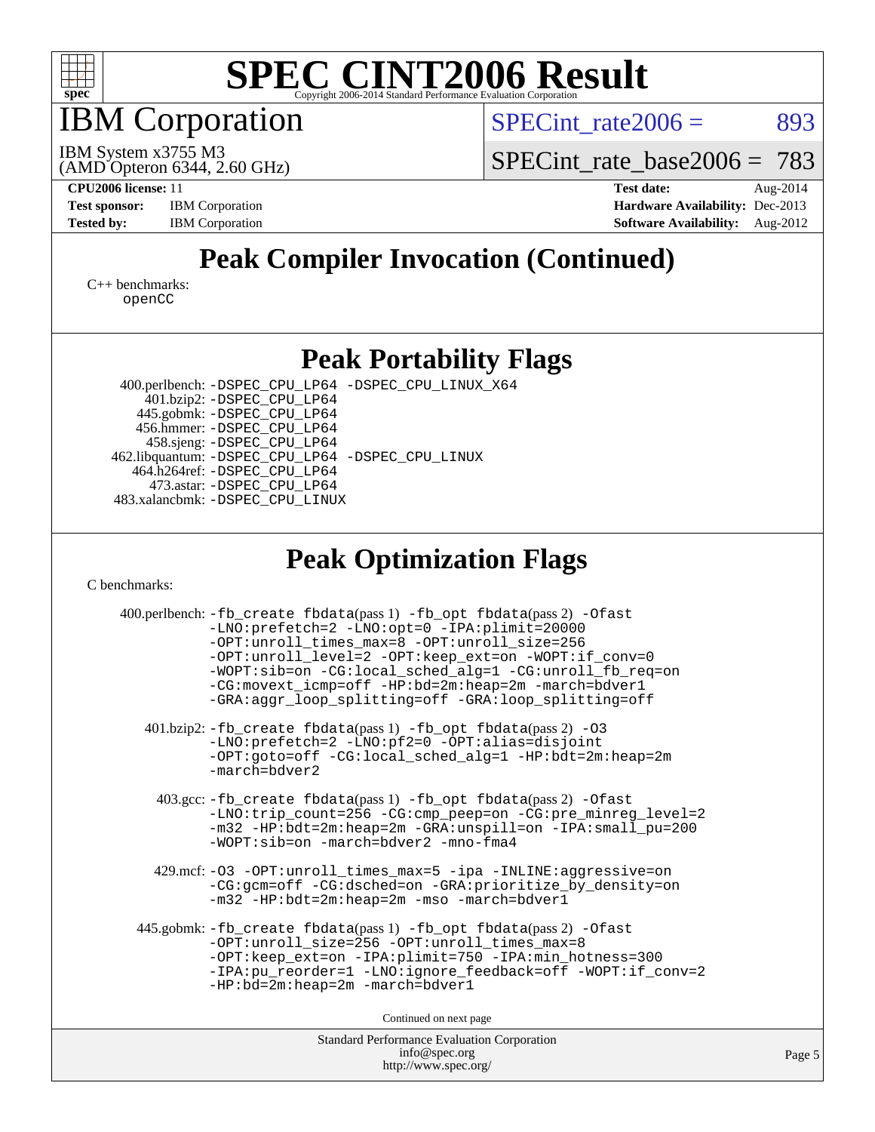

IBM Corporation

 $SPECTnt_rate2006 = 893$ 

(AMD Opteron 6344, 2.60 GHz) IBM System x3755 M3

[SPECint\\_rate\\_base2006 =](http://www.spec.org/auto/cpu2006/Docs/result-fields.html#SPECintratebase2006) 783

**[CPU2006 license:](http://www.spec.org/auto/cpu2006/Docs/result-fields.html#CPU2006license)** 11 **[Test date:](http://www.spec.org/auto/cpu2006/Docs/result-fields.html#Testdate)** Aug-2014 **[Test sponsor:](http://www.spec.org/auto/cpu2006/Docs/result-fields.html#Testsponsor)** IBM Corporation **[Hardware Availability:](http://www.spec.org/auto/cpu2006/Docs/result-fields.html#HardwareAvailability)** Dec-2013 **[Tested by:](http://www.spec.org/auto/cpu2006/Docs/result-fields.html#Testedby)** IBM Corporation **[Software Availability:](http://www.spec.org/auto/cpu2006/Docs/result-fields.html#SoftwareAvailability)** Aug-2012

## **[Peak Compiler Invocation \(Continued\)](http://www.spec.org/auto/cpu2006/Docs/result-fields.html#PeakCompilerInvocation)**

[C++ benchmarks:](http://www.spec.org/auto/cpu2006/Docs/result-fields.html#CXXbenchmarks) [openCC](http://www.spec.org/cpu2006/results/res2014q3/cpu2006-20140818-30952.flags.html#user_CXXpeak_FopenCC)

#### **[Peak Portability Flags](http://www.spec.org/auto/cpu2006/Docs/result-fields.html#PeakPortabilityFlags)**

 400.perlbench: [-DSPEC\\_CPU\\_LP64](http://www.spec.org/cpu2006/results/res2014q3/cpu2006-20140818-30952.flags.html#b400.perlbench_peakPORTABILITY_DSPEC_CPU_LP64) [-DSPEC\\_CPU\\_LINUX\\_X64](http://www.spec.org/cpu2006/results/res2014q3/cpu2006-20140818-30952.flags.html#b400.perlbench_peakCPORTABILITY_DSPEC_CPU_LINUX_X64) 401.bzip2: [-DSPEC\\_CPU\\_LP64](http://www.spec.org/cpu2006/results/res2014q3/cpu2006-20140818-30952.flags.html#suite_peakPORTABILITY401_bzip2_DSPEC_CPU_LP64) 445.gobmk: [-DSPEC\\_CPU\\_LP64](http://www.spec.org/cpu2006/results/res2014q3/cpu2006-20140818-30952.flags.html#suite_peakPORTABILITY445_gobmk_DSPEC_CPU_LP64) 456.hmmer: [-DSPEC\\_CPU\\_LP64](http://www.spec.org/cpu2006/results/res2014q3/cpu2006-20140818-30952.flags.html#suite_peakPORTABILITY456_hmmer_DSPEC_CPU_LP64) 458.sjeng: [-DSPEC\\_CPU\\_LP64](http://www.spec.org/cpu2006/results/res2014q3/cpu2006-20140818-30952.flags.html#suite_peakPORTABILITY458_sjeng_DSPEC_CPU_LP64) 462.libquantum: [-DSPEC\\_CPU\\_LP64](http://www.spec.org/cpu2006/results/res2014q3/cpu2006-20140818-30952.flags.html#suite_peakPORTABILITY462_libquantum_DSPEC_CPU_LP64) [-DSPEC\\_CPU\\_LINUX](http://www.spec.org/cpu2006/results/res2014q3/cpu2006-20140818-30952.flags.html#b462.libquantum_peakCPORTABILITY_DSPEC_CPU_LINUX) 464.h264ref: [-DSPEC\\_CPU\\_LP64](http://www.spec.org/cpu2006/results/res2014q3/cpu2006-20140818-30952.flags.html#suite_peakPORTABILITY464_h264ref_DSPEC_CPU_LP64) 473.astar: [-DSPEC\\_CPU\\_LP64](http://www.spec.org/cpu2006/results/res2014q3/cpu2006-20140818-30952.flags.html#suite_peakPORTABILITY473_astar_DSPEC_CPU_LP64) 483.xalancbmk: [-DSPEC\\_CPU\\_LINUX](http://www.spec.org/cpu2006/results/res2014q3/cpu2006-20140818-30952.flags.html#b483.xalancbmk_peakCXXPORTABILITY_DSPEC_CPU_LINUX)

## **[Peak Optimization Flags](http://www.spec.org/auto/cpu2006/Docs/result-fields.html#PeakOptimizationFlags)**

[C benchmarks](http://www.spec.org/auto/cpu2006/Docs/result-fields.html#Cbenchmarks):

| 400.perlbench: -fb_create fbdata(pass 1) -fb_opt fbdata(pass 2) -Ofast<br>-LNO:prefetch=2 -LNO:opt=0 -IPA:plimit=20000<br>-OPT:unroll_times_max=8 -OPT:unroll_size=256<br>-OPT:unroll level=2 -OPT:keep ext=on -WOPT:if conv=0<br>-WOPT:sib=on -CG:local_sched_alg=1 -CG:unroll_fb_req=on<br>-CG:movext_icmp=off -HP:bd=2m:heap=2m -march=bdver1<br>-GRA:aggr_loop_splitting=off -GRA:loop_splitting=off |  |
|----------------------------------------------------------------------------------------------------------------------------------------------------------------------------------------------------------------------------------------------------------------------------------------------------------------------------------------------------------------------------------------------------------|--|
| 401.bzip2: -fb_create fbdata(pass 1) -fb_opt fbdata(pass 2) -03<br>-LNO:prefetch=2 -LNO:pf2=0 -OPT:alias=disjoint<br>$-OPT:qoto=off - CG:local \sched \alq=1 - HP:bdt=2m:heap=2m$<br>$-march = bdver2$                                                                                                                                                                                                   |  |
| 403.gcc: -fb_create fbdata(pass 1) -fb_opt fbdata(pass 2) -Ofast<br>-LNO:trip_count=256 -CG:cmp_peep=on -CG:pre_minreg_level=2<br>-m32 -HP:bdt=2m:heap=2m -GRA:unspill=on -IPA:small pu=200<br>$-WOPT:$ sib=on -march=bdver2 -mno-fma4                                                                                                                                                                   |  |
| 429.mcf: -03 -0PT:unroll_times_max=5 -ipa -INLINE:aggressive=on<br>-CG:gcm=off -CG:dsched=on -GRA:prioritize_by_density=on<br>-m32 -HP:bdt=2m:heap=2m -mso -march=bdver1                                                                                                                                                                                                                                 |  |
| 445.gobmk: -fb_create fbdata(pass 1) -fb_opt fbdata(pass 2) -Ofast<br>-OPT:unroll_size=256 -OPT:unroll_times_max=8<br>-OPT:keep_ext=on -IPA:plimit=750 -IPA:min_hotness=300<br>-IPA:pu_reorder=1 -LNO:ignore_feedback=off -WOPT:if_conv=2<br>$-HP:bd=2m:heap=2m -march=bdver1$                                                                                                                           |  |
| Continued on next page                                                                                                                                                                                                                                                                                                                                                                                   |  |
| Standard Performance Evaluation Corporation<br>info@spec.org                                                                                                                                                                                                                                                                                                                                             |  |

<http://www.spec.org/>

Page 5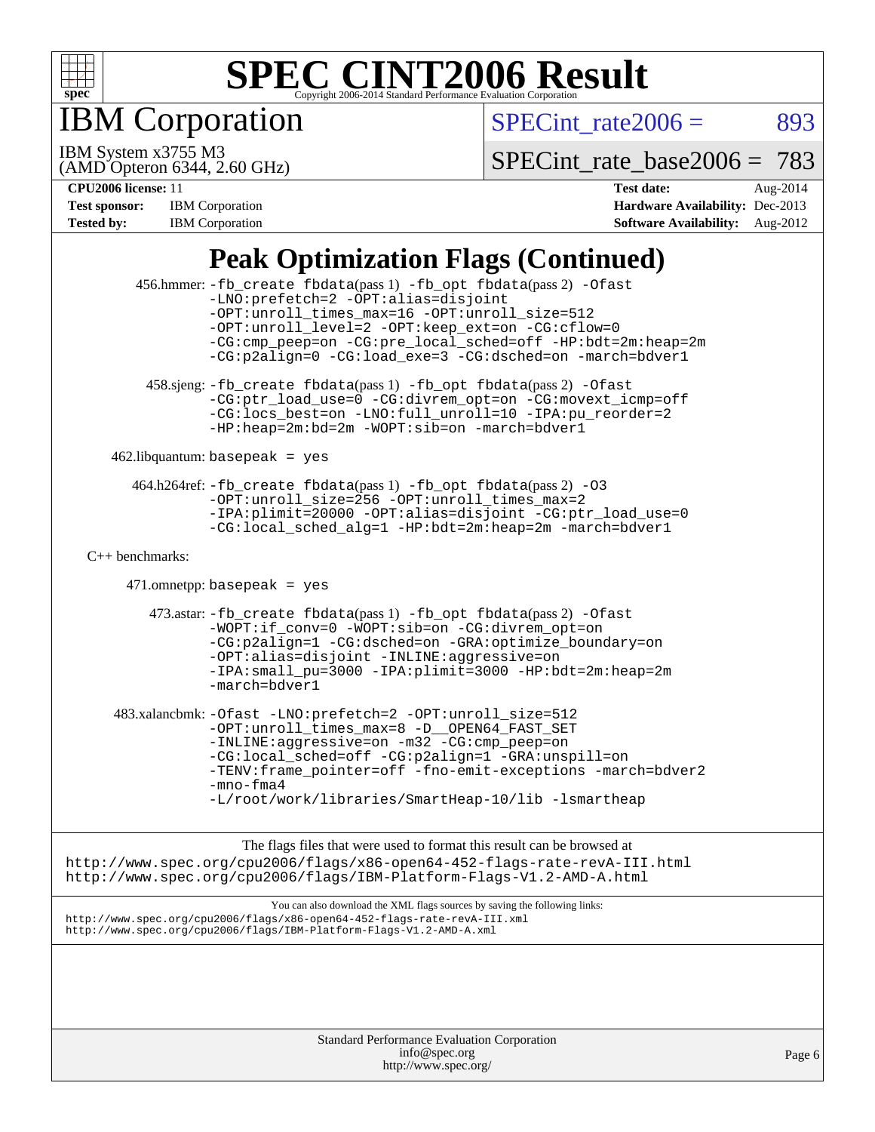

IBM Corporation

 $SPECTnt_rate2006 = 893$ 

(AMD Opteron 6344, 2.60 GHz) IBM System x3755 M3

[SPECint\\_rate\\_base2006 =](http://www.spec.org/auto/cpu2006/Docs/result-fields.html#SPECintratebase2006) 783

**[CPU2006 license:](http://www.spec.org/auto/cpu2006/Docs/result-fields.html#CPU2006license)** 11 **[Test date:](http://www.spec.org/auto/cpu2006/Docs/result-fields.html#Testdate)** Aug-2014 **[Test sponsor:](http://www.spec.org/auto/cpu2006/Docs/result-fields.html#Testsponsor)** IBM Corporation **[Hardware Availability:](http://www.spec.org/auto/cpu2006/Docs/result-fields.html#HardwareAvailability)** Dec-2013 **[Tested by:](http://www.spec.org/auto/cpu2006/Docs/result-fields.html#Testedby)** IBM Corporation **[Software Availability:](http://www.spec.org/auto/cpu2006/Docs/result-fields.html#SoftwareAvailability)** Aug-2012

## **[Peak Optimization Flags \(Continued\)](http://www.spec.org/auto/cpu2006/Docs/result-fields.html#PeakOptimizationFlags)**

|                                                                                                                                                                                                                               | 456.hmmer: -fb_create fbdata(pass 1) -fb_opt fbdata(pass 2) -Ofast<br>-LNO: prefetch=2 -OPT: alias=disjoint<br>-OPT:unroll_times_max=16 -OPT:unroll_size=512<br>-OPT:unroll_level=2 -OPT:keep_ext=on -CG:cflow=0<br>-CG:cmp_peep=on -CG:pre_local_sched=off -HP:bdt=2m:heap=2m<br>-CG:p2align=0 -CG:load_exe=3 -CG:dsched=on -march=bdver1         |  |  |  |
|-------------------------------------------------------------------------------------------------------------------------------------------------------------------------------------------------------------------------------|----------------------------------------------------------------------------------------------------------------------------------------------------------------------------------------------------------------------------------------------------------------------------------------------------------------------------------------------------|--|--|--|
|                                                                                                                                                                                                                               | 458.sjeng: -fb_create fbdata(pass 1) -fb_opt fbdata(pass 2) -Ofast<br>-CG:ptr_load_use=0 -CG:divrem_opt=on -CG:movext_icmp=off<br>-CG:locs_best=on -LNO:full_unroll=10 -IPA:pu_reorder=2<br>-HP:heap=2m:bd=2m -WOPT:sib=on -march=bdver1                                                                                                           |  |  |  |
|                                                                                                                                                                                                                               | $462$ .libquantum: basepeak = yes                                                                                                                                                                                                                                                                                                                  |  |  |  |
|                                                                                                                                                                                                                               | 464.h264ref: -fb_create fbdata(pass 1) -fb_opt fbdata(pass 2) -03<br>-OPT:unroll_size=256 -OPT:unroll_times_max=2<br>-IPA:plimit=20000 -OPT:alias=disjoint -CG:ptr_load_use=0<br>-CG:local_sched_alg=1 -HP:bdt=2m:heap=2m -march=bdver1                                                                                                            |  |  |  |
| $C++$ benchmarks:                                                                                                                                                                                                             |                                                                                                                                                                                                                                                                                                                                                    |  |  |  |
|                                                                                                                                                                                                                               | $471.$ omnetpp: basepeak = yes                                                                                                                                                                                                                                                                                                                     |  |  |  |
|                                                                                                                                                                                                                               | 473.astar: -fb_create fbdata(pass 1) -fb_opt fbdata(pass 2) -Ofast<br>-WOPT:if conv=0 -WOPT:sib=on -CG:divrem opt=on<br>-CG:p2align=1 -CG:dsched=on -GRA:optimize_boundary=on<br>-OPT:alias=disjoint -INLINE:aggressive=on<br>-IPA: small_pu=3000 -IPA: plimit=3000 -HP: bdt=2m: heap=2m<br>-march=bdver1                                          |  |  |  |
|                                                                                                                                                                                                                               | 483.xalancbmk: -Ofast -LNO: prefetch=2 -OPT: unroll_size=512<br>-OPT:unroll_times_max=8 -D__OPEN64_FAST_SET<br>-INLINE:aggressive=on -m32 -CG:cmp_peep=on<br>-CG:local_sched=off -CG:p2align=1 -GRA:unspill=on<br>-TENV:frame_pointer=off -fno-emit-exceptions -march=bdver2<br>$-mno-fma4$<br>-L/root/work/libraries/SmartHeap-10/lib -lsmartheap |  |  |  |
|                                                                                                                                                                                                                               | The flags files that were used to format this result can be browsed at<br>http://www.spec.org/cpu2006/flags/x86-open64-452-flags-rate-revA-III.html<br>http://www.spec.org/cpu2006/flags/IBM-Platform-Flags-V1.2-AMD-A.html                                                                                                                        |  |  |  |
| You can also download the XML flags sources by saving the following links:<br>http://www.spec.org/cpu2006/flags/x86-open64-452-flags-rate-revA-III.xml<br>http://www.spec.org/cpu2006/flags/IBM-Platform-Flags-V1.2-AMD-A.xml |                                                                                                                                                                                                                                                                                                                                                    |  |  |  |
|                                                                                                                                                                                                                               |                                                                                                                                                                                                                                                                                                                                                    |  |  |  |
|                                                                                                                                                                                                                               |                                                                                                                                                                                                                                                                                                                                                    |  |  |  |